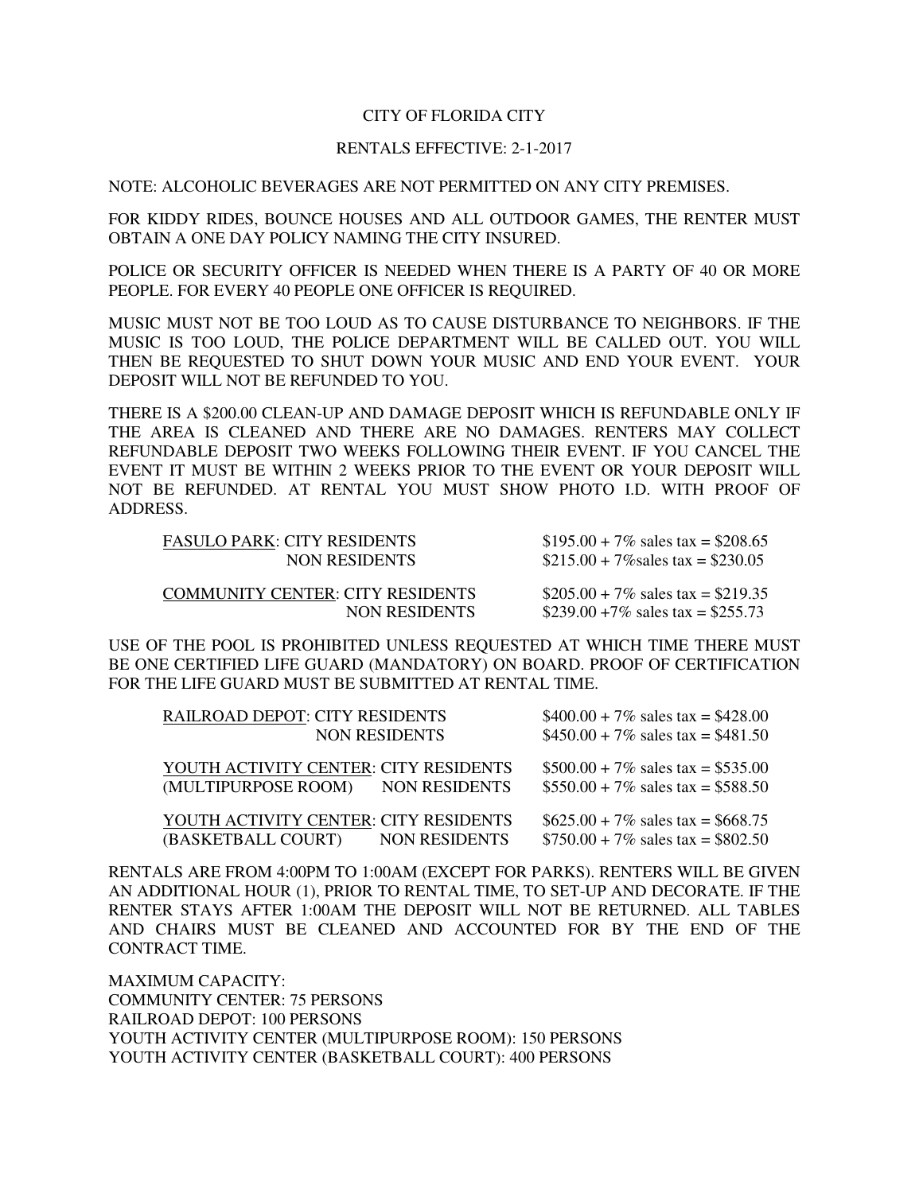## CITY OF FLORIDA CITY

## RENTALS EFFECTIVE: 2-1-2017

NOTE: ALCOHOLIC BEVERAGES ARE NOT PERMITTED ON ANY CITY PREMISES.

 FOR KIDDY RIDES, BOUNCE HOUSES AND ALL OUTDOOR GAMES, THE RENTER MUST OBTAIN A ONE DAY POLICY NAMING THE CITY INSURED.

 POLICE OR SECURITY OFFICER IS NEEDED WHEN THERE IS A PARTY OF 40 OR MORE PEOPLE. FOR EVERY 40 PEOPLE ONE OFFICER IS REQUIRED.

 MUSIC MUST NOT BE TOO LOUD AS TO CAUSE DISTURBANCE TO NEIGHBORS. IF THE MUSIC IS TOO LOUD, THE POLICE DEPARTMENT WILL BE CALLED OUT. YOU WILL THEN BE REQUESTED TO SHUT DOWN YOUR MUSIC AND END YOUR EVENT. YOUR DEPOSIT WILL NOT BE REFUNDED TO YOU.

 THERE IS A \$200.00 CLEAN-UP AND DAMAGE DEPOSIT WHICH IS REFUNDABLE ONLY IF THE AREA IS CLEANED AND THERE ARE NO DAMAGES. RENTERS MAY COLLECT REFUNDABLE DEPOSIT TWO WEEKS FOLLOWING THEIR EVENT. IF YOU CANCEL THE EVENT IT MUST BE WITHIN 2 WEEKS PRIOR TO THE EVENT OR YOUR DEPOSIT WILL NOT BE REFUNDED. AT RENTAL YOU MUST SHOW PHOTO I.D. WITH PROOF OF ADDRESS.

| <b>FASULO PARK: CITY RESIDENTS</b>      | $$195.00 + 7\%$ sales tax = \$208.65 |
|-----------------------------------------|--------------------------------------|
| <b>NON RESIDENTS</b>                    | $$215.00 + 7\%$ sales tax = \$230.05 |
| <b>COMMUNITY CENTER: CITY RESIDENTS</b> | $$205.00 + 7\%$ sales tax = \$219.35 |
| <b>NON RESIDENTS</b>                    | \$239.00 $+7\%$ sales tax = \$255.73 |

 USE OF THE POOL IS PROHIBITED UNLESS REQUESTED AT WHICH TIME THERE MUST BE ONE CERTIFIED LIFE GUARD (MANDATORY) ON BOARD. PROOF OF CERTIFICATION FOR THE LIFE GUARD MUST BE SUBMITTED AT RENTAL TIME.

| RAILROAD DEPOT: CITY RESIDENTS                                             |                      | $$400.00 + 7\%$ sales tax = \$428.00                                         |
|----------------------------------------------------------------------------|----------------------|------------------------------------------------------------------------------|
|                                                                            | <b>NON RESIDENTS</b> | $$450.00 + 7\%$ sales tax = \$481.50                                         |
| YOUTH ACTIVITY CENTER: CITY RESIDENTS<br>(MULTIPURPOSE ROOM) NON RESIDENTS |                      | $$500.00 + 7\%$ sales tax = \$535.00<br>$$550.00 + 7\%$ sales tax = \$588.50 |
| YOUTH ACTIVITY CENTER: CITY RESIDENTS<br>(BASKETBALL COURT)                | NON RESIDENTS        | $$625.00 + 7\%$ sales tax = \$668.75<br>$$750.00 + 7\%$ sales tax = \$802.50 |

 RENTALS ARE FROM 4:00PM TO 1:00AM (EXCEPT FOR PARKS). RENTERS WILL BE GIVEN AN ADDITIONAL HOUR (1), PRIOR TO RENTAL TIME, TO SET-UP AND DECORATE. IF THE RENTER STAYS AFTER 1:00AM THE DEPOSIT WILL NOT BE RETURNED. ALL TABLES AND CHAIRS MUST BE CLEANED AND ACCOUNTED FOR BY THE END OF THE CONTRACT TIME.

 COMMUNITY CENTER: 75 PERSONS RAILROAD DEPOT: 100 PERSONS YOUTH ACTIVITY CENTER (MULTIPURPOSE ROOM): 150 PERSONS YOUTH ACTIVITY CENTER (BASKETBALL COURT): 400 PERSONS MAXIMUM CAPACITY: